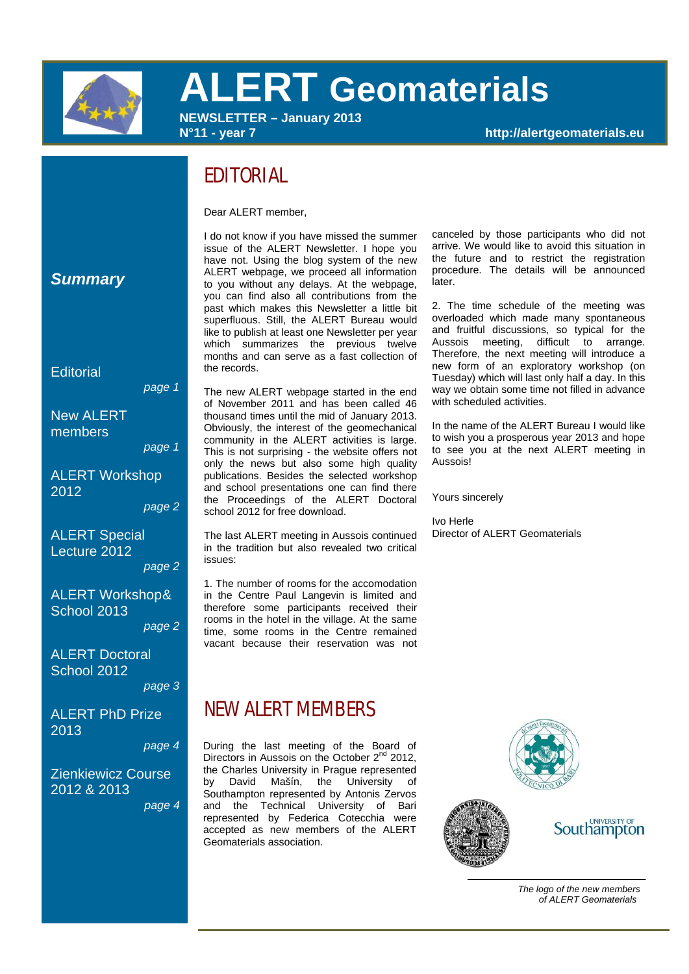

# **ALERT Geomaterials**

**NEWSLETTER – January 2013** 

**N°11 - year 7 http://alertgeomaterials.eu** 

# EDITORIAL

Dear ALERT member,

I do not know if you have missed the summer issue of the ALERT Newsletter. I hope you have not. Using the blog system of the new ALERT webpage, we proceed all information to you without any delays. At the webpage, you can find also all contributions from the past which makes this Newsletter a little bit superfluous. Still, the ALERT Bureau would like to publish at least one Newsletter per year which summarizes the previous twelve months and can serve as a fast collection of the records.

The new ALERT webpage started in the end of November 2011 and has been called 46 thousand times until the mid of January 2013. Obviously, the interest of the geomechanical community in the ALERT activities is large. This is not surprising - the website offers not only the news but also some high quality publications. Besides the selected workshop and school presentations one can find there the Proceedings of the ALERT Doctoral school 2012 for free download.

The last ALERT meeting in Aussois continued in the tradition but also revealed two critical issues:

1. The number of rooms for the accomodation in the Centre Paul Langevin is limited and therefore some participants received their rooms in the hotel in the village. At the same time, some rooms in the Centre remained vacant because their reservation was not

### NEW ALERT MEMBERS

During the last meeting of the Board of Directors in Aussois on the October 2<sup>nd</sup> 2012. the Charles University in Prague represented by David Mašín, the University of Southampton represented by Antonis Zervos and the Technical University of Bari represented by Federica Cotecchia were accepted as new members of the ALERT Geomaterials association.

canceled by those participants who did not arrive. We would like to avoid this situation in the future and to restrict the registration procedure. The details will be announced later.

2. The time schedule of the meeting was overloaded which made many spontaneous and fruitful discussions, so typical for the Aussois meeting, difficult to arrange. Therefore, the next meeting will introduce a new form of an exploratory workshop (on Tuesday) which will last only half a day. In this way we obtain some time not filled in advance with scheduled activities.

In the name of the ALERT Bureau I would like to wish you a prosperous year 2013 and hope to see you at the next ALERT meeting in Aussois!

Yours sincerely

Ivo Herle Director of ALERT Geomaterials



 *The logo of the new members of ALERT Geomaterials* 

### *Summary*

**Editorial** 

*page 1*

**New ALERT** members

*page 1*

ALERT Workshop 2012

*page 2*

ALERT Special Lecture 2012

*page 2*

ALERT Workshop& School 2013

*page 2*

ALERT Doctoral School 2012 *page 3*

ALERT PhD Prize 2013

*page 4*

Zienkiewicz Course 2012 & 2013

 *page 4*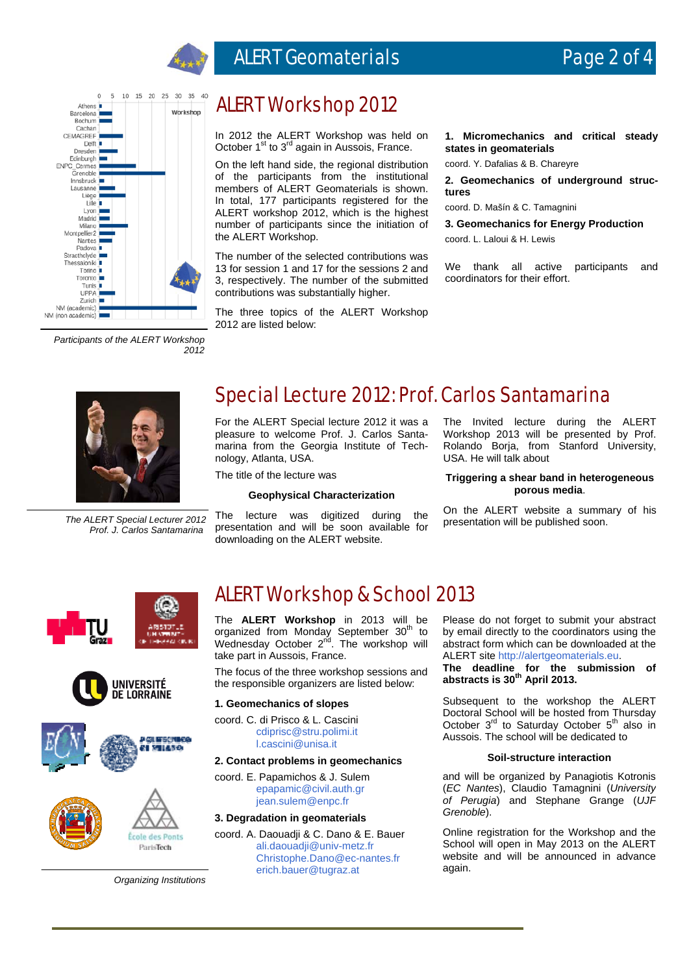

## ALERT Geomaterials **Page 2 of 4**



*Participants of the ALERT Workshop 2012*

### ALERT Workshop 2012

In 2012 the ALERT Workshop was held on October  $1<sup>st</sup>$  to  $3<sup>rd</sup>$  again in Aussois, France.

On the left hand side, the regional distribution of the participants from the institutional members of ALERT Geomaterials is shown. In total, 177 participants registered for the ALERT workshop 2012, which is the highest number of participants since the initiation of the ALERT Workshop.

The number of the selected contributions was 13 for session 1 and 17 for the sessions 2 and 3, respectively. The number of the submitted contributions was substantially higher.

The three topics of the ALERT Workshop 2012 are listed below:

**1. Micromechanics and critical steady states in geomaterials** 

coord. Y. Dafalias & B. Chareyre

**2. Geomechanics of underground structures** 

coord. D. Mašín & C. Tamagnini

**3. Geomechanics for Energy Production** 

coord. L. Laloui & H. Lewis

We thank all active participants and coordinators for their effort.



*The ALERT Special Lecturer 2012 Prof. J. Carlos Santamarina*

### Special Lecture 2012: Prof. Carlos Santamarina

For the ALERT Special lecture 2012 it was a pleasure to welcome Prof. J. Carlos Santamarina from the Georgia Institute of Technology, Atlanta, USA.

The title of the lecture was

#### **Geophysical Characterization**

The lecture was digitized during the presentation and will be soon available for downloading on the ALERT website.

The Invited lecture during the ALERT Workshop 2013 will be presented by Prof. Rolando Borja, from Stanford University, USA. He will talk about

#### **Triggering a shear band in heterogeneous porous media**.

On the ALERT website a summary of his presentation will be published soon.









ALERT Workshop & School 2013

The **ALERT Workshop** in 2013 will be organized from Monday September 30<sup>th</sup> to Wednesday October 2<sup>nd</sup>. The workshop will take part in Aussois, France.

The focus of the three workshop sessions and the responsible organizers are listed below:

#### **1. Geomechanics of slopes**

coord. C. di Prisco & L. Cascini cdiprisc@stru.polimi.it l.cascini@unisa.it

#### **2. Contact problems in geomechanics**

coord. E. Papamichos & J. Sulem epapamic@civil.auth.gr jean.sulem@enpc.fr

#### **3. Degradation in geomaterials**

coord. A. Daouadji & C. Dano & E. Bauer ali.daouadji@univ-metz.fr Christophe.Dano@ec-nantes.fr erich.bauer@tugraz.at

Please do not forget to submit your abstract by email directly to the coordinators using the abstract form which can be downloaded at the ALERT site http://alertgeomaterials.eu.

**The deadline for the submission of abstracts is 30th April 2013.** 

Subsequent to the workshop the ALERT Doctoral School will be hosted from Thursday October  $3<sup>rd</sup>$  to Saturday October  $5<sup>th</sup>$  also in Aussois. The school will be dedicated to

#### **Soil-structure interaction**

and will be organized by Panagiotis Kotronis (*EC Nantes*), Claudio Tamagnini (*University of Perugia*) and Stephane Grange (*UJF Grenoble*).

Online registration for the Workshop and the School will open in May 2013 on the ALERT website and will be announced in advance again.

*Organizing Institutions*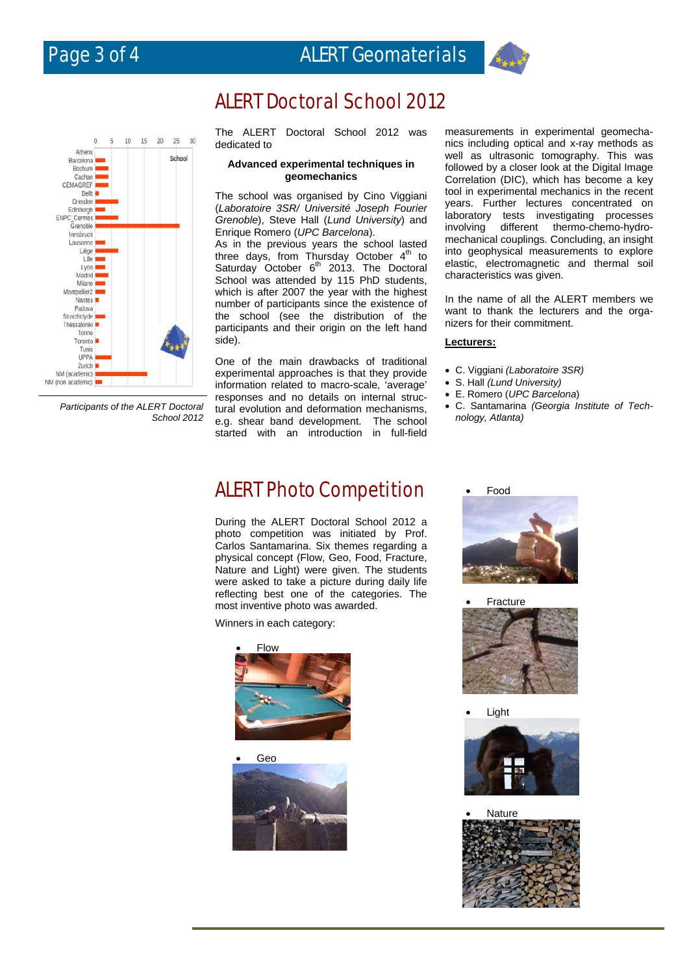

## ALERT Doctoral School 2012



 *Participants of the ALERT Doctoral School 2012*

The ALERT Doctoral School 2012 was dedicated to

#### **Advanced experimental techniques in geomechanics**

The school was organised by Cino Viggiani (*Laboratoire 3SR/ Université Joseph Fourier Grenoble*), Steve Hall (*Lund University*) and Enrique Romero (*UPC Barcelona*).

As in the previous years the school lasted three days, from Thursday October  $4<sup>th</sup>$  to Saturday October  $6<sup>th</sup>$  2013. The Doctoral School was attended by 115 PhD students, which is after 2007 the year with the highest number of participants since the existence of the school (see the distribution of the participants and their origin on the left hand side).

One of the main drawbacks of traditional experimental approaches is that they provide information related to macro-scale, 'average' responses and no details on internal structural evolution and deformation mechanisms, e.g. shear band development. The school started with an introduction in full-field measurements in experimental geomechanics including optical and x-ray methods as well as ultrasonic tomography. This was followed by a closer look at the Digital Image Correlation (DIC), which has become a key tool in experimental mechanics in the recent years. Further lectures concentrated on laboratory tests investigating processes involving different thermo-chemo-hydromechanical couplings. Concluding, an insight into geophysical measurements to explore elastic, electromagnetic and thermal soil characteristics was given.

In the name of all the ALERT members we want to thank the lecturers and the organizers for their commitment.

#### **Lecturers:**

- C. Viggiani *(Laboratoire 3SR)*
- S. Hall *(Lund University)*
- E. Romero (*UPC Barcelona*)
- C. Santamarina *(Georgia Institute of Technology, Atlanta)*

### ALERT Photo Competition

During the ALERT Doctoral School 2012 a photo competition was initiated by Prof. Carlos Santamarina. Six themes regarding a physical concept (Flow, Geo, Food, Fracture, Nature and Light) were given. The students were asked to take a picture during daily life reflecting best one of the categories. The most inventive photo was awarded.

Winners in each category:



Geo



Food



Fracture



Light



Nature